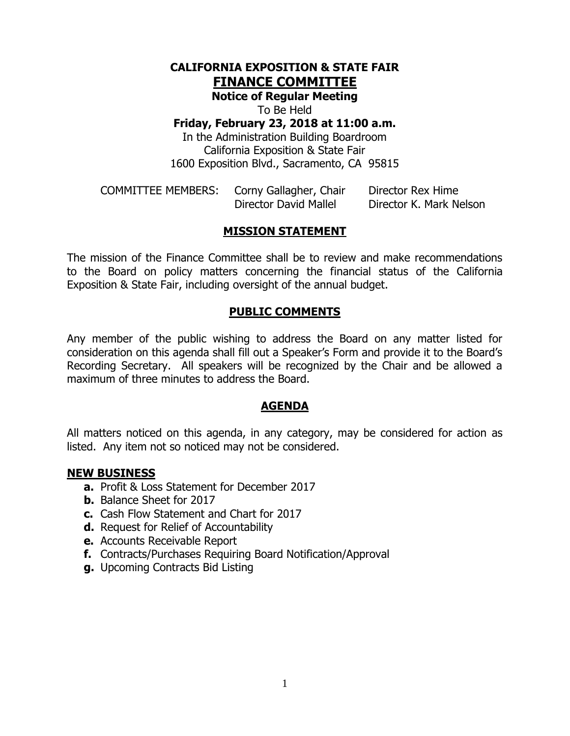## **CALIFORNIA EXPOSITION & STATE FAIR FINANCE COMMITTEE**

**Notice of Regular Meeting**

To Be Held

#### **Friday, February 23, 2018 at 11:00 a.m.**

In the Administration Building Boardroom California Exposition & State Fair 1600 Exposition Blvd., Sacramento, CA 95815

| <b>COMMITTEE MEMBERS:</b> | Corny Gallagher, Chair | Director Rex Hime       |
|---------------------------|------------------------|-------------------------|
|                           | Director David Mallel  | Director K. Mark Nelson |

### **MISSION STATEMENT**

The mission of the Finance Committee shall be to review and make recommendations to the Board on policy matters concerning the financial status of the California Exposition & State Fair, including oversight of the annual budget.

#### **PUBLIC COMMENTS**

Any member of the public wishing to address the Board on any matter listed for consideration on this agenda shall fill out a Speaker's Form and provide it to the Board's Recording Secretary. All speakers will be recognized by the Chair and be allowed a maximum of three minutes to address the Board.

#### **AGENDA**

All matters noticed on this agenda, in any category, may be considered for action as listed. Any item not so noticed may not be considered.

#### **NEW BUSINESS**

- **a.** Profit & Loss Statement for December 2017
- **b.** Balance Sheet for 2017
- **c.** Cash Flow Statement and Chart for 2017
- **d.** Request for Relief of Accountability
- **e.** Accounts Receivable Report
- **f.** Contracts/Purchases Requiring Board Notification/Approval
- **g.** Upcoming Contracts Bid Listing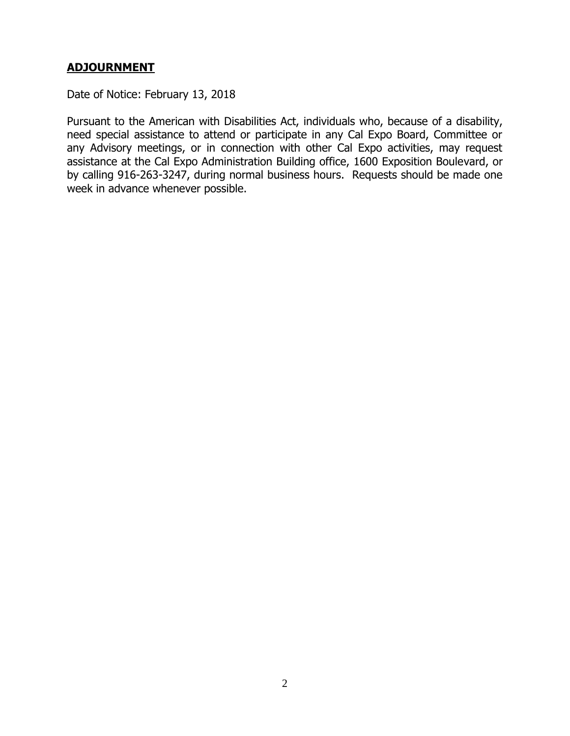## **ADJOURNMENT**

Date of Notice: February 13, 2018

Pursuant to the American with Disabilities Act, individuals who, because of a disability, need special assistance to attend or participate in any Cal Expo Board, Committee or any Advisory meetings, or in connection with other Cal Expo activities, may request assistance at the Cal Expo Administration Building office, 1600 Exposition Boulevard, or by calling 916-263-3247, during normal business hours. Requests should be made one week in advance whenever possible.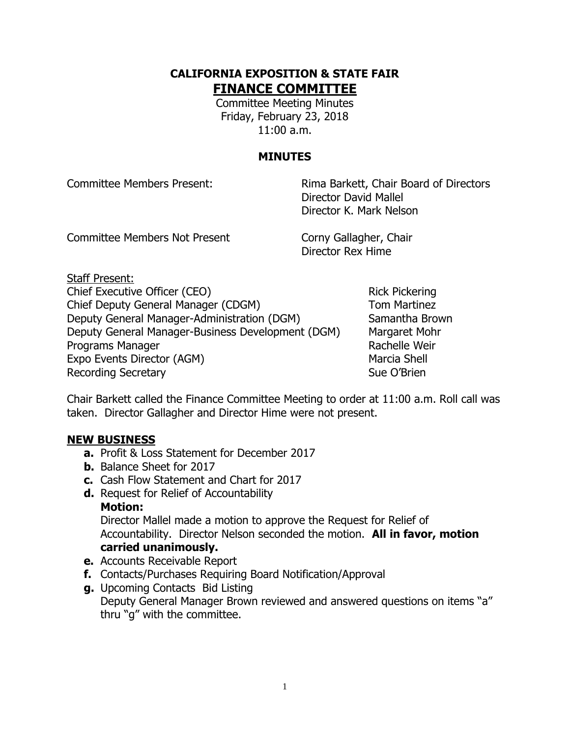## **CALIFORNIA EXPOSITION & STATE FAIR FINANCE COMMITTEE**

Committee Meeting Minutes Friday, February 23, 2018 11:00 a.m.

## **MINUTES**

Committee Members Present: Rima Barkett, Chair Board of Directors Director David Mallel Director K. Mark Nelson

Committee Members Not Present Corny Gallagher, Chair

Director Rex Hime

Staff Present: Chief Executive Officer (CEO) Rick Pickering Chief Deputy General Manager (CDGM) Tom Martinez Deputy General Manager-Administration (DGM) Samantha Brown Deputy General Manager-Business Development (DGM) Margaret Mohr Programs Manager **Rachelle Weir** Rachelle Weir Expo Events Director (AGM) Marcia Shell Recording Secretary **Sue O'Brien** Sue O'Brien

Chair Barkett called the Finance Committee Meeting to order at 11:00 a.m. Roll call was taken. Director Gallagher and Director Hime were not present.

### **NEW BUSINESS**

- **a.** Profit & Loss Statement for December 2017
- **b.** Balance Sheet for 2017
- **c.** Cash Flow Statement and Chart for 2017
- **d.** Request for Relief of Accountability

#### **Motion:**

Director Mallel made a motion to approve the Request for Relief of Accountability. Director Nelson seconded the motion. **All in favor, motion carried unanimously.**

- **e.** Accounts Receivable Report
- **f.** Contacts/Purchases Requiring Board Notification/Approval
- **g.** Upcoming Contacts Bid Listing Deputy General Manager Brown reviewed and answered questions on items "a" thru "g" with the committee.